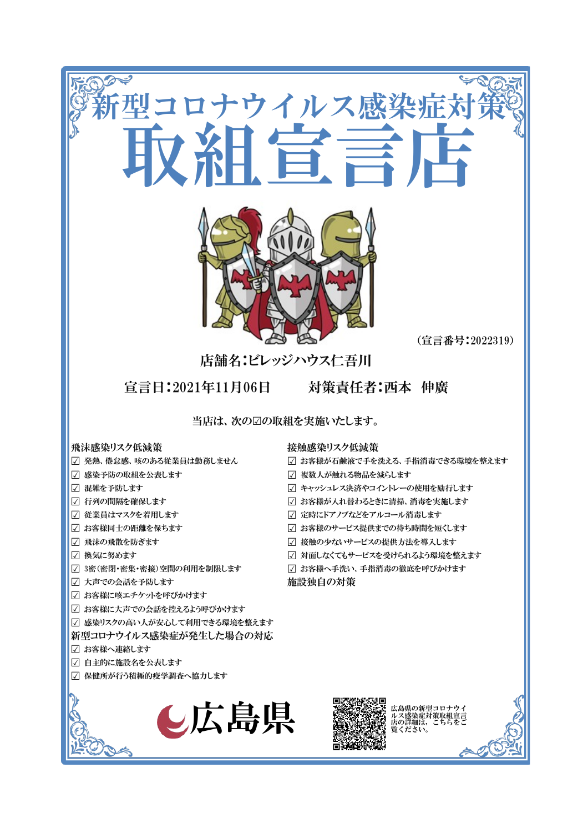